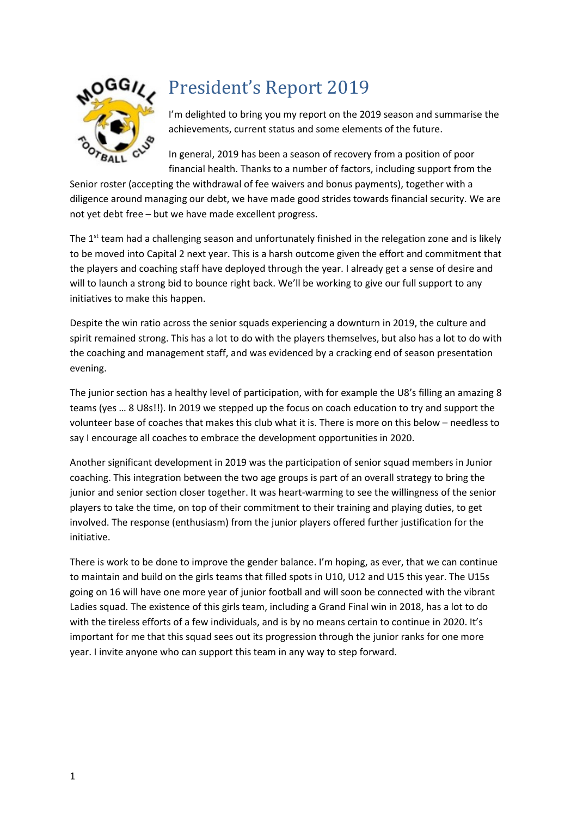

# President's Report 2019

I'm delighted to bring you my report on the 2019 season and summarise the achievements, current status and some elements of the future.

In general, 2019 has been a season of recovery from a position of poor financial health. Thanks to a number of factors, including support from the

Senior roster (accepting the withdrawal of fee waivers and bonus payments), together with a diligence around managing our debt, we have made good strides towards financial security. We are not yet debt free – but we have made excellent progress.

The 1<sup>st</sup> team had a challenging season and unfortunately finished in the relegation zone and is likely to be moved into Capital 2 next year. This is a harsh outcome given the effort and commitment that the players and coaching staff have deployed through the year. I already get a sense of desire and will to launch a strong bid to bounce right back. We'll be working to give our full support to any initiatives to make this happen.

Despite the win ratio across the senior squads experiencing a downturn in 2019, the culture and spirit remained strong. This has a lot to do with the players themselves, but also has a lot to do with the coaching and management staff, and was evidenced by a cracking end of season presentation evening.

The junior section has a healthy level of participation, with for example the U8's filling an amazing 8 teams (yes … 8 U8s!!). In 2019 we stepped up the focus on coach education to try and support the volunteer base of coaches that makes this club what it is. There is more on this below – needless to say I encourage all coaches to embrace the development opportunities in 2020.

Another significant development in 2019 was the participation of senior squad members in Junior coaching. This integration between the two age groups is part of an overall strategy to bring the junior and senior section closer together. It was heart-warming to see the willingness of the senior players to take the time, on top of their commitment to their training and playing duties, to get involved. The response (enthusiasm) from the junior players offered further justification for the initiative.

There is work to be done to improve the gender balance. I'm hoping, as ever, that we can continue to maintain and build on the girls teams that filled spots in U10, U12 and U15 this year. The U15s going on 16 will have one more year of junior football and will soon be connected with the vibrant Ladies squad. The existence of this girls team, including a Grand Final win in 2018, has a lot to do with the tireless efforts of a few individuals, and is by no means certain to continue in 2020. It's important for me that this squad sees out its progression through the junior ranks for one more year. I invite anyone who can support this team in any way to step forward.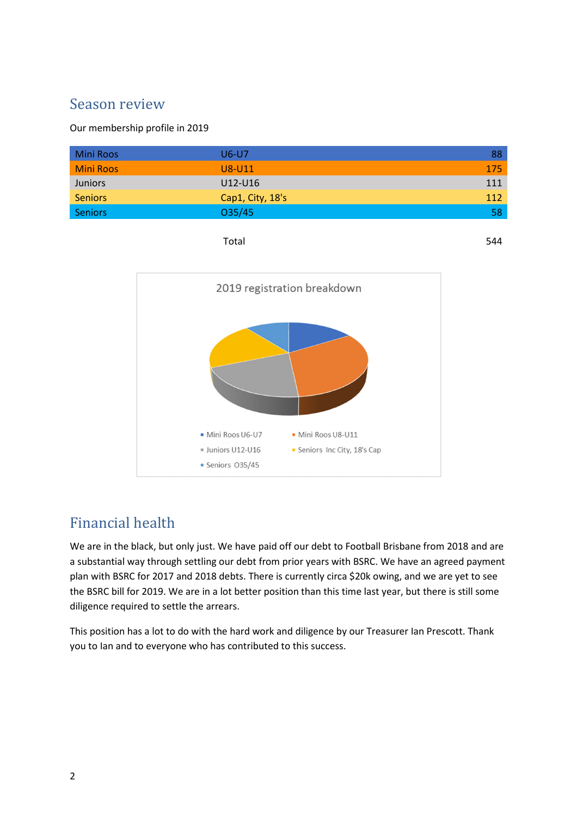### Season review

Our membership profile in 2019

| <b>Mini Roos</b> | U6-U7            | 88  |
|------------------|------------------|-----|
| <b>Mini Roos</b> | U8-U11           | 175 |
| <b>Juniors</b>   | U12-U16          | 111 |
| <b>Seniors</b>   | Cap1, City, 18's | 112 |
| <b>Seniors</b>   | 035/45           |     |





### Financial health

We are in the black, but only just. We have paid off our debt to Football Brisbane from 2018 and are a substantial way through settling our debt from prior years with BSRC. We have an agreed payment plan with BSRC for 2017 and 2018 debts. There is currently circa \$20k owing, and we are yet to see the BSRC bill for 2019. We are in a lot better position than this time last year, but there is still some diligence required to settle the arrears.

This position has a lot to do with the hard work and diligence by our Treasurer Ian Prescott. Thank you to Ian and to everyone who has contributed to this success.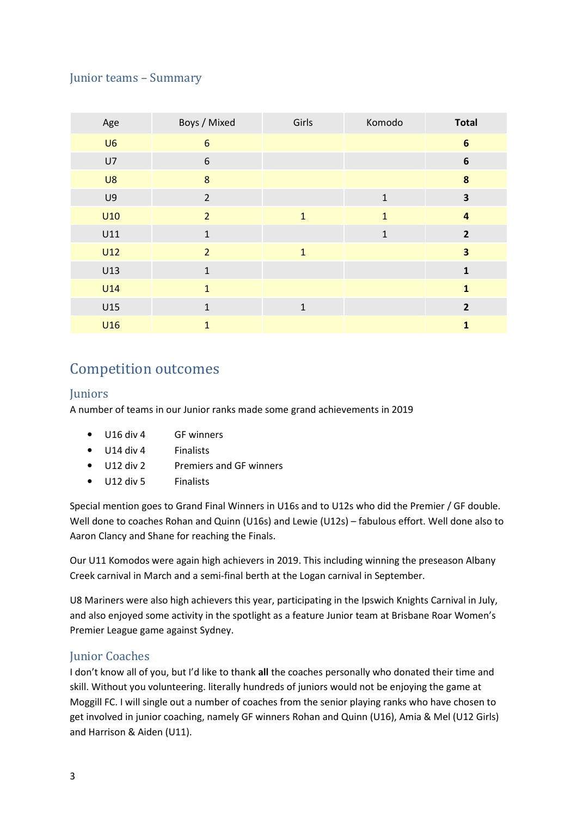#### Junior teams – Summary

| Age            | Boys / Mixed   | Girls        | Komodo       | <b>Total</b>            |
|----------------|----------------|--------------|--------------|-------------------------|
| U6             | $6\phantom{1}$ |              |              | $\boldsymbol{6}$        |
| U7             | $6\,$          |              |              | $\boldsymbol{6}$        |
| U8             | 8              |              |              | $\pmb{8}$               |
| U <sub>9</sub> | $\overline{2}$ |              | $1\,$        | 3                       |
| U10            | $\overline{2}$ | $\mathbf{1}$ | $\mathbf{1}$ | $\overline{\mathbf{4}}$ |
| U11            | $\mathbf{1}$   |              | $\mathbf 1$  | $\overline{2}$          |
| U12            | $\overline{2}$ | $\mathbf{1}$ |              | $\overline{\mathbf{3}}$ |
| U13            | $1\,$          |              |              | $\mathbf{1}$            |
| <b>U14</b>     | $\mathbf{1}$   |              |              | $\mathbf{1}$            |
| U15            | $\mathbf{1}$   | $\mathbf{1}$ |              | $\overline{2}$          |
| U16            | $\mathbf{1}$   |              |              | $\mathbf{1}$            |

### Competition outcomes

#### **Juniors**

A number of teams in our Junior ranks made some grand achievements in 2019

- U16 div 4 GF winners
- U14 div 4 Finalists
- U12 div 2 Premiers and GF winners
- U12 div 5 Finalists

Special mention goes to Grand Final Winners in U16s and to U12s who did the Premier / GF double. Well done to coaches Rohan and Quinn (U16s) and Lewie (U12s) – fabulous effort. Well done also to Aaron Clancy and Shane for reaching the Finals.

Our U11 Komodos were again high achievers in 2019. This including winning the preseason Albany Creek carnival in March and a semi-final berth at the Logan carnival in September.

U8 Mariners were also high achievers this year, participating in the Ipswich Knights Carnival in July, and also enjoyed some activity in the spotlight as a feature Junior team at Brisbane Roar Women's Premier League game against Sydney.

#### Junior Coaches

I don't know all of you, but I'd like to thank all the coaches personally who donated their time and skill. Without you volunteering. literally hundreds of juniors would not be enjoying the game at Moggill FC. I will single out a number of coaches from the senior playing ranks who have chosen to get involved in junior coaching, namely GF winners Rohan and Quinn (U16), Amia & Mel (U12 Girls) and Harrison & Aiden (U11).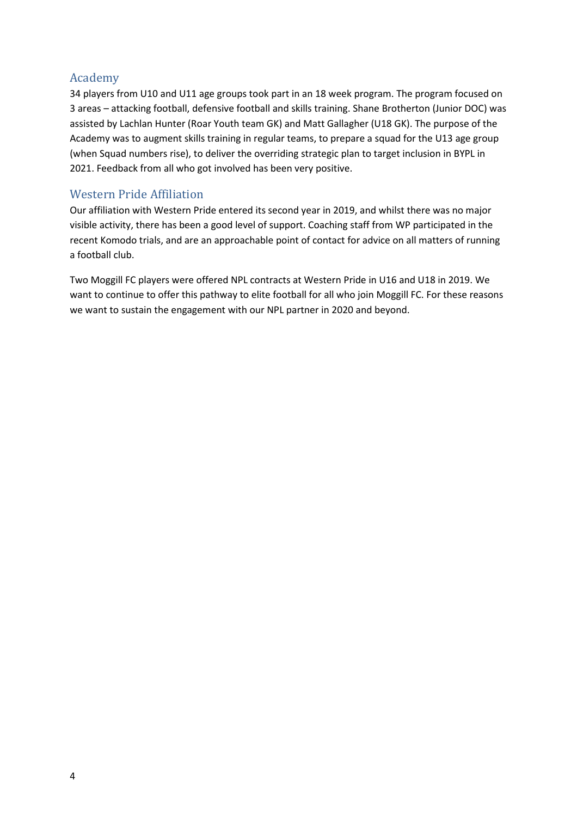#### Academy

34 players from U10 and U11 age groups took part in an 18 week program. The program focused on 3 areas – attacking football, defensive football and skills training. Shane Brotherton (Junior DOC) was assisted by Lachlan Hunter (Roar Youth team GK) and Matt Gallagher (U18 GK). The purpose of the Academy was to augment skills training in regular teams, to prepare a squad for the U13 age group (when Squad numbers rise), to deliver the overriding strategic plan to target inclusion in BYPL in 2021. Feedback from all who got involved has been very positive.

#### Western Pride Affiliation

Our affiliation with Western Pride entered its second year in 2019, and whilst there was no major visible activity, there has been a good level of support. Coaching staff from WP participated in the recent Komodo trials, and are an approachable point of contact for advice on all matters of running a football club.

Two Moggill FC players were offered NPL contracts at Western Pride in U16 and U18 in 2019. We want to continue to offer this pathway to elite football for all who join Moggill FC. For these reasons we want to sustain the engagement with our NPL partner in 2020 and beyond.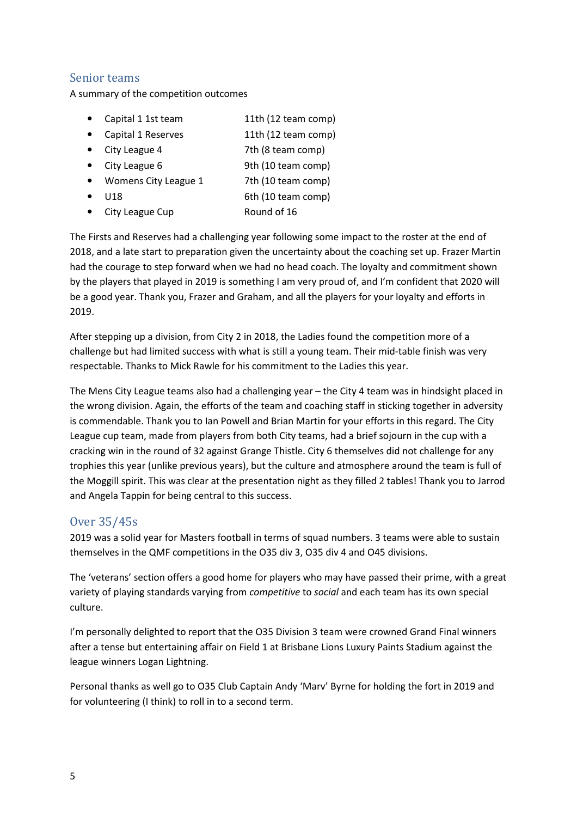#### Senior teams

A summary of the competition outcomes

• Capital 1 1st team 11th (12 team comp) • Capital 1 Reserves 11th (12 team comp) • City League 4 7th (8 team comp) • City League 6 9th (10 team comp) • Womens City League 1 7th (10 team comp) • U18 6th (10 team comp) • City League Cup Round of 16

The Firsts and Reserves had a challenging year following some impact to the roster at the end of 2018, and a late start to preparation given the uncertainty about the coaching set up. Frazer Martin had the courage to step forward when we had no head coach. The loyalty and commitment shown by the players that played in 2019 is something I am very proud of, and I'm confident that 2020 will be a good year. Thank you, Frazer and Graham, and all the players for your loyalty and efforts in 2019.

After stepping up a division, from City 2 in 2018, the Ladies found the competition more of a challenge but had limited success with what is still a young team. Their mid-table finish was very respectable. Thanks to Mick Rawle for his commitment to the Ladies this year.

The Mens City League teams also had a challenging year – the City 4 team was in hindsight placed in the wrong division. Again, the efforts of the team and coaching staff in sticking together in adversity is commendable. Thank you to Ian Powell and Brian Martin for your efforts in this regard. The City League cup team, made from players from both City teams, had a brief sojourn in the cup with a cracking win in the round of 32 against Grange Thistle. City 6 themselves did not challenge for any trophies this year (unlike previous years), but the culture and atmosphere around the team is full of the Moggill spirit. This was clear at the presentation night as they filled 2 tables! Thank you to Jarrod and Angela Tappin for being central to this success.

#### Over 35/45s

2019 was a solid year for Masters football in terms of squad numbers. 3 teams were able to sustain themselves in the QMF competitions in the O35 div 3, O35 div 4 and O45 divisions.

The 'veterans' section offers a good home for players who may have passed their prime, with a great variety of playing standards varying from *competitive* to *social* and each team has its own special culture.

I'm personally delighted to report that the O35 Division 3 team were crowned Grand Final winners after a tense but entertaining affair on Field 1 at Brisbane Lions Luxury Paints Stadium against the league winners Logan Lightning.

Personal thanks as well go to O35 Club Captain Andy 'Marv' Byrne for holding the fort in 2019 and for volunteering (I think) to roll in to a second term.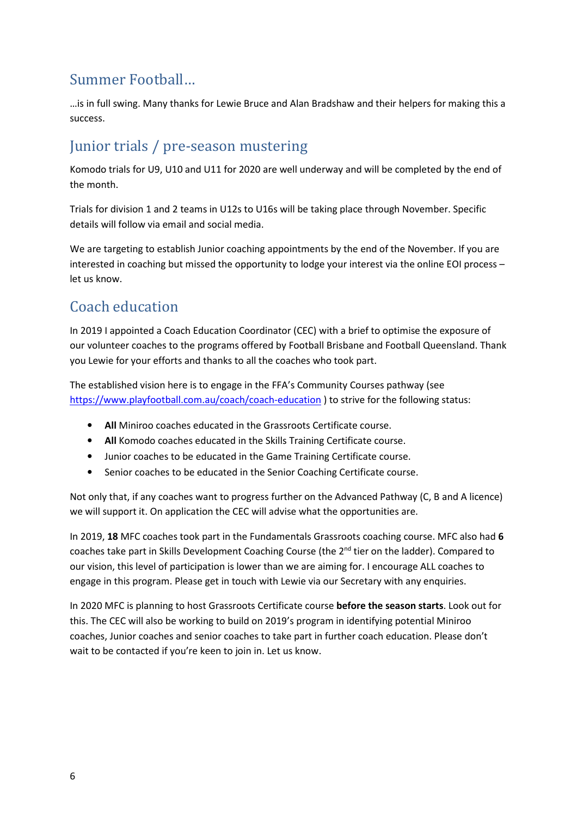# Summer Football…

…is in full swing. Many thanks for Lewie Bruce and Alan Bradshaw and their helpers for making this a success.

# Junior trials / pre-season mustering

Komodo trials for U9, U10 and U11 for 2020 are well underway and will be completed by the end of the month.

Trials for division 1 and 2 teams in U12s to U16s will be taking place through November. Specific details will follow via email and social media.

We are targeting to establish Junior coaching appointments by the end of the November. If you are interested in coaching but missed the opportunity to lodge your interest via the online EOI process – let us know.

# Coach education

In 2019 I appointed a Coach Education Coordinator (CEC) with a brief to optimise the exposure of our volunteer coaches to the programs offered by Football Brisbane and Football Queensland. Thank you Lewie for your efforts and thanks to all the coaches who took part.

The established vision here is to engage in the FFA's Community Courses pathway (see https://www.playfootball.com.au/coach/coach-education ) to strive for the following status:

- All Miniroo coaches educated in the Grassroots Certificate course.
- All Komodo coaches educated in the Skills Training Certificate course.
- Junior coaches to be educated in the Game Training Certificate course.
- Senior coaches to be educated in the Senior Coaching Certificate course.

Not only that, if any coaches want to progress further on the Advanced Pathway (C, B and A licence) we will support it. On application the CEC will advise what the opportunities are.

In 2019, 18 MFC coaches took part in the Fundamentals Grassroots coaching course. MFC also had 6 coaches take part in Skills Development Coaching Course (the 2<sup>nd</sup> tier on the ladder). Compared to our vision, this level of participation is lower than we are aiming for. I encourage ALL coaches to engage in this program. Please get in touch with Lewie via our Secretary with any enquiries.

In 2020 MFC is planning to host Grassroots Certificate course before the season starts. Look out for this. The CEC will also be working to build on 2019's program in identifying potential Miniroo coaches, Junior coaches and senior coaches to take part in further coach education. Please don't wait to be contacted if you're keen to join in. Let us know.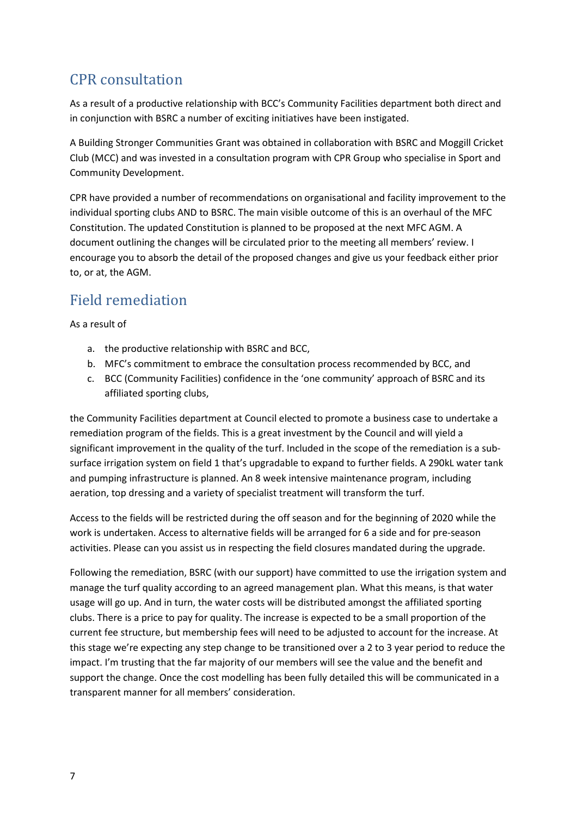# CPR consultation

As a result of a productive relationship with BCC's Community Facilities department both direct and in conjunction with BSRC a number of exciting initiatives have been instigated.

A Building Stronger Communities Grant was obtained in collaboration with BSRC and Moggill Cricket Club (MCC) and was invested in a consultation program with CPR Group who specialise in Sport and Community Development.

CPR have provided a number of recommendations on organisational and facility improvement to the individual sporting clubs AND to BSRC. The main visible outcome of this is an overhaul of the MFC Constitution. The updated Constitution is planned to be proposed at the next MFC AGM. A document outlining the changes will be circulated prior to the meeting all members' review. I encourage you to absorb the detail of the proposed changes and give us your feedback either prior to, or at, the AGM.

### Field remediation

As a result of

- a. the productive relationship with BSRC and BCC,
- b. MFC's commitment to embrace the consultation process recommended by BCC, and
- c. BCC (Community Facilities) confidence in the 'one community' approach of BSRC and its affiliated sporting clubs,

the Community Facilities department at Council elected to promote a business case to undertake a remediation program of the fields. This is a great investment by the Council and will yield a significant improvement in the quality of the turf. Included in the scope of the remediation is a subsurface irrigation system on field 1 that's upgradable to expand to further fields. A 290kL water tank and pumping infrastructure is planned. An 8 week intensive maintenance program, including aeration, top dressing and a variety of specialist treatment will transform the turf.

Access to the fields will be restricted during the off season and for the beginning of 2020 while the work is undertaken. Access to alternative fields will be arranged for 6 a side and for pre-season activities. Please can you assist us in respecting the field closures mandated during the upgrade.

Following the remediation, BSRC (with our support) have committed to use the irrigation system and manage the turf quality according to an agreed management plan. What this means, is that water usage will go up. And in turn, the water costs will be distributed amongst the affiliated sporting clubs. There is a price to pay for quality. The increase is expected to be a small proportion of the current fee structure, but membership fees will need to be adjusted to account for the increase. At this stage we're expecting any step change to be transitioned over a 2 to 3 year period to reduce the impact. I'm trusting that the far majority of our members will see the value and the benefit and support the change. Once the cost modelling has been fully detailed this will be communicated in a transparent manner for all members' consideration.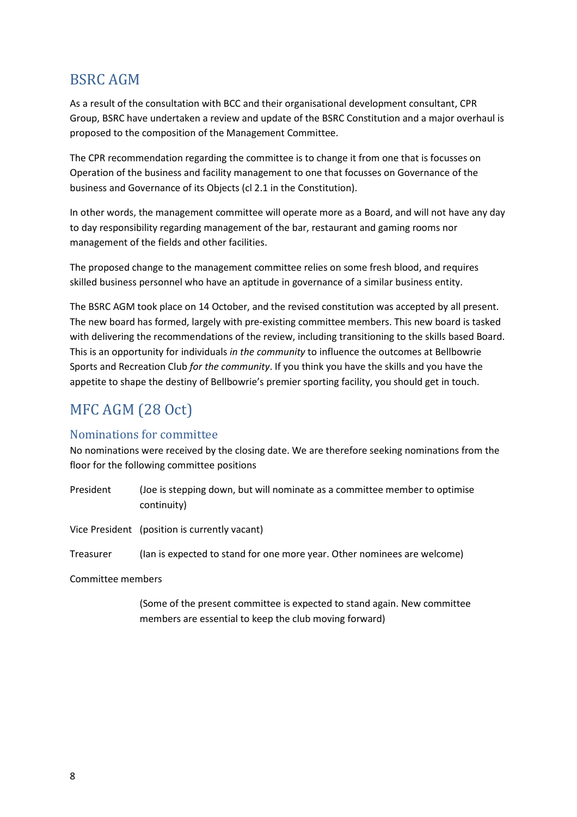### BSRC AGM

As a result of the consultation with BCC and their organisational development consultant, CPR Group, BSRC have undertaken a review and update of the BSRC Constitution and a major overhaul is proposed to the composition of the Management Committee.

The CPR recommendation regarding the committee is to change it from one that is focusses on Operation of the business and facility management to one that focusses on Governance of the business and Governance of its Objects (cl 2.1 in the Constitution).

In other words, the management committee will operate more as a Board, and will not have any day to day responsibility regarding management of the bar, restaurant and gaming rooms nor management of the fields and other facilities.

The proposed change to the management committee relies on some fresh blood, and requires skilled business personnel who have an aptitude in governance of a similar business entity.

The BSRC AGM took place on 14 October, and the revised constitution was accepted by all present. The new board has formed, largely with pre-existing committee members. This new board is tasked with delivering the recommendations of the review, including transitioning to the skills based Board. This is an opportunity for individuals in the community to influence the outcomes at Bellbowrie Sports and Recreation Club for the community. If you think you have the skills and you have the appetite to shape the destiny of Bellbowrie's premier sporting facility, you should get in touch.

# MFC AGM (28 Oct)

#### Nominations for committee

No nominations were received by the closing date. We are therefore seeking nominations from the floor for the following committee positions

President (Joe is stepping down, but will nominate as a committee member to optimise continuity)

Vice President (position is currently vacant)

Treasurer (Ian is expected to stand for one more year. Other nominees are welcome)

Committee members

(Some of the present committee is expected to stand again. New committee members are essential to keep the club moving forward)